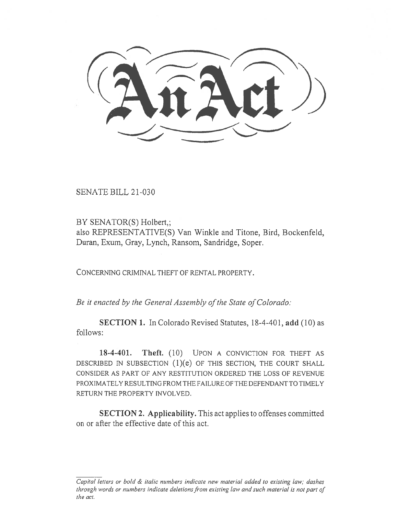SENATE BILL 21-030

BY SENATOR(S) Holbert,; also REPRESENTATIVE(S) Van Winkle and Titone, Bird, Bockenfeld, Duran, Exum, Gray, Lynch, Ransom, Sandridge, Soper.

CONCERNING CRIMINAL THEFT OF RENTAL PROPERTY.

Be it enacted by the General Assembly of the State of Colorado:

SECTION 1. In Colorado Revised Statutes, 18-4-401, add (10) as follows:

18-4-401. Theft. (10) UPON A CONVICTION FOR THEFT AS DESCRIBED IN SUBSECTION  $(1)(e)$  OF THIS SECTION, THE COURT SHALL CONSIDER AS PART OF ANY RESTITUTION ORDERED THE LOSS OF REVENUE PROXIMATELY RESULTING FROM THE FAILURE OF THE DEFENDANT TO TIMELY RETURN THE PROPERTY INVOLVED.

SECTION 2. Applicability. This act applies to offenses committed on or after the effective date of this act.

Capital letters or bold & italic numbers indicate new material added to existing law; dashes through words or numbers indicate deletions from existing law and such material is not part of the act.